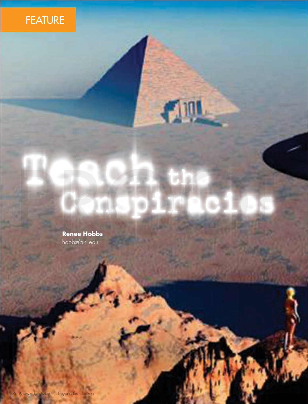# FEATURE

**Renee Hobbs** hobbs@uri.edu

Teach and

Conspiracies

**Cint**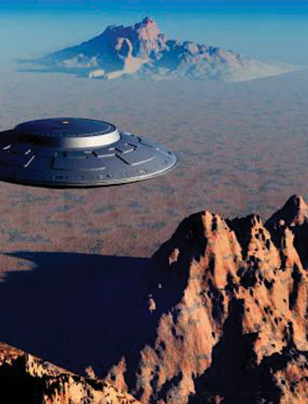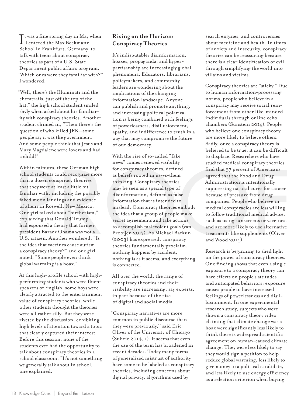$\prod$ t was a fine spring day in May when<br>I entered the Max Beckmann I entered the Max Beckmann School in Frankfurt, Germany, to talk with teens about conspiracy theories as part of a U.S. State Department public affairs program. "Which ones were they familiar with?" I wondered.

"Well, there's the Illuminati and the chemtrails, just off the top of the hat," the high school student smiled shyly when asked about his familiarity with conspiracy theories. Another student chimed in, "Then there's the question of who killed JFK—some people say it was the government. And some people think that Jesus and Mary Magdalene were lovers and had a child!"

Within minutes, these German high school students could recognize more than a dozen conspiracy theories that they were at least a little bit familiar with, including the possibly faked moon landings and evidence of aliens in Roswell, New Mexico. One girl talked about "birtherism," explaining that Donald Trump had espoused a theory that former president Barack Obama was not a U.S. citizen. Another wondered, "Is the idea that vaccines cause autism a conspiracy theory?" and one girl noted, "Some people even think global warming is a hoax."

At this high-profile school with highperforming students who were fluent speakers of English, some boys were clearly attracted to the entertainment value of conspiracy theories, while other students thought the theories were all rather silly. But they were riveted by the discussion, exhibiting high levels of attention toward a topic that clearly captured their interest. Before this session, none of the students ever had the opportunity to talk about conspiracy theories in a school classroom. "It's not something we generally talk about in school," one explained.

#### **Rising on the Horizon: Conspiracy Theories**

It's indisputable: disinformation, hoaxes, propaganda, and hyperpartisanship are increasingly global phenomena. Educators, librarians, policymakers, and community leaders are wondering about the implications of the changing information landscape. Anyone can publish and promote anything, and increasing political polarization is being combined with feelings of powerlessness, disillusionment, apathy, and indifference to truth in a way that may compromise the future of our democracy.

With the rise of so-called "fake news" comes renewed visibility for conspiracy theories, defined as beliefs rooted in us-vs-them thinking. Conspiracy theories may be seen as a special type of disinformation, defined as false information that is intended to mislead. Conspiracy theories embody the idea that a group of people make secret agreements and take actions to accomplish malevolent goals (van Prooijen 2017). As Michael Barkun (2003) has expressed, conspiracy theories fundamentally proclaim: nothing happens by accident, nothing is as it seems, and everything is connected.

All over the world, the range of conspiracy theories and their visibility are increasing, say experts, in part because of the rise of digital and social media.

"Conspiracy narratives are more common in public discourse than they were previously,'' said Eric Oliver of the University of Chicago (Suhrie 2014, 1). It seems that even the use of the term has broadened in recent decades. Today many forms of generalized mistrust of authority have come to be labeled as conspiracy theories, including concerns about digital privacy, algorithms used by

search engines, and controversies about medicine and health. In times of anxiety and insecurity, conspiracy theories can be reassuring because there is a clear identification of evil through simplifying the world into villains and victims.

Conspiracy theories are "sticky." Due to human information-processing norms, people who believe in a conspiracy may receive social reinforcement from other like-minded individuals through online echo chambers (Sunstein 2014). People who believe one conspiracy theory are more likely to believe others. Sadly, once a conspiracy theory is believed to be true, it can be difficult to displace. Researchers who have studied medical conspiracy theories find that 37 percent of Americans agreed that the Food and Drug Administration is intentionally suppressing natural cures for cancer because of pressure from drug companies. People who believe in medical conspiracies are less willing to follow traditional medical advice, such as using sunscreens or vaccines, and are more likely to use alternative treatments like supplements (Oliver and Wood 2014).

Research is beginning to shed light on the power of conspiracy theories. One finding shows that even a single exposure to a conspiracy theory can have effects on people's attitudes and anticipated behaviors; exposure causes people to have increased feelings of powerlessness and disillusionment. In one experimental research study, subjects who were shown a conspiracy theory video claiming that climate change was a hoax were significantly less likely to think there is widespread scientific agreement on human-caused climate change. They were less likely to say they would sign a petition to help reduce global warming, less likely to give money to a political candidate, and less likely to use energy efficiency as a selection criterion when buying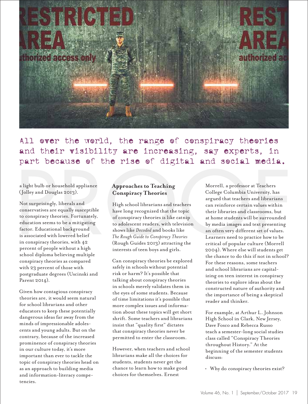

All ever the werld, the range of conspiracy theories and their visibility are increasing, say experts, in part because of the rise of digital and social media.

a light bulb or household appliance (Jolley and Douglas 2013).

Not surprisingly, liberals and conservatives are equally susceptible to conspiracy theories. Fortunately, education seems to be a mitigating factor. Educational background is associated with lowered belief in conspiracy theories, with 42 percent of people without a high school diploma believing multiple conspiracy theories as compared with 23 percent of those with postgraduate degrees (Uscinski and Parent 2014).

Given how contagious conspiracy theories are, it would seem natural for school librarians and other educators to keep these potentially dangerous ideas far away from the minds of impressionable adolescents and young adults. But on the contrary, because of the increased prominence of conspiracy theories in our culture today, it's more important than ever to tackle the topic of conspiracy theories head on as an approach to building media and information-literacy competencies.

#### **Approaches to Teaching Conspiracy Theories**

High school librarians and teachers have long recognized that the topic of conspiracy theories is like catnip to adolescent readers, with television shows like *Decoded* and books like *The Rough Guide to Conspiracy Theories* (Rough Guides 2013) attracting the interests of teen boys and girls.

Can conspiracy theories be explored safely in schools without potential risk or harm? It's possible that talking about conspiracy theories in schools merely validates them in the eyes of some students. Because of time limitations it's possible that more complex issues and information about these topics will get short shrift. Some teachers and librarians insist that "quality first" dictates that conspiracy theories never be permitted to enter the classroom.

However, when teachers and school librarians make all the choices for students, students never get the chance to learn how to make good choices for themselves. Ernest

Morrell, a professor at Teachers College Columbia University, has argued that teachers and librarians can reinforce certain values within their libraries and classrooms, but at home students will be surrounded by media images and text presenting an often very different set of values. Learners need to practice how to be critical of popular culture (Morrell 2004). Where else will students get the chance to do this if not in school? For these reasons, some teachers and school librarians are capitalizing on teen interest in conspiracy theories to explore ideas about the constructed nature of authority and the importance of being a skeptical reader and thinker.

For example, at Arthur L. Johnson High School in Clark, New Jersey, Dave Fosco and Rebecca Russo teach a semester-long social studies class called "Conspiracy Theories throughout History." At the beginning of the semester students discuss:

• Why do conspiracy theories exist?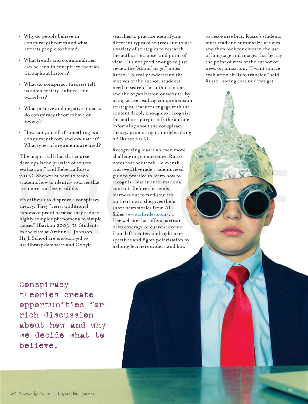- Why do people believe in conspiracy theories and what attracts people to them?
- What trends and commonalities can be seen in conspiracy theories throughout history?
- What do conspiracy theories tell us about society, culture, and ourselves?
- What positive and negative impacts do conspiracy theories have on society?
- How can you tell if something is a conspiracy theory and evaluate it? What types of arguments are used?

"The major skill that this course develops is the practice of source evaluation," said Rebecca Russo (2017). She works hard to teach students how to identify sources that are more and less credible.

It's difficult to disprove a conspiracy theory. They "resist traditional canons of proof because they reduce highly complex phenomena to simple causes" (Barkun 2003, 7). Students in the class at Arthur L. Johnson High School are encouraged to use library databases and Google

searches to practice identifying different types of sources and to use a variety of strategies to research the author, purpose, and point of view. "It's not good enough to just review the 'About' page," notes Russo. To really understand the motives of the author, students need to search the author's name and the organization or website. By using active reading comprehension strategies, learners engage with the content deeply enough to recognize the author's purpose: Is the author informing about the conspiracy theory, promoting it, or debunking it? (Russo 2017).

Recognizing bias is an even more challenging competency. Russo notes that her tenth-, eleventh-, and twelfth-grade students need guided practice to learn how to recognize bias in informational content. Before she sends learners out to find sources on their own, she gives them short news stories from All Sides <www.allsides.com>, a free website that offers partisan news coverage of current events from left, center, and right perspectives and fights polarization by helping learners understand how

to recognize bias. Russo's students must read and summarize articles and then look for clues in the use of language and images that betray the point of view of the author or news organization. "I want source evaluation skills to transfer," said Russo, noting that students get

Conspiracy theories create opportunities for rich discussion about how and why we decide what to believe.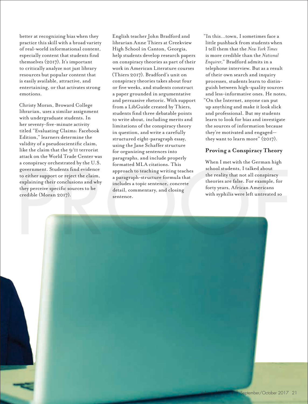better at recognizing bias when they practice this skill with a broad variety of real-world informational content, especially content that students find themselves (2017). It's important to critically analyze not just library resources but popular content that is easily available, attractive, and entertaining, or that activates strong emotions.

Christy Moran, Broward College librarian, uses a similar assignment with undergraduate students. In her seventy-five-minute activity titled "Evaluating Claims: Facebook Edition," learners determine the validity of a pseudoscientific claim, like the claim that the 9/11 terrorist attack on the World Trade Center was a conspiracy orchestrated by the U.S. government. Students find evidence to either support or reject the claim, explaining their conclusions and why they perceive specific sources to be credible (Moran 2017).

English teacher John Bradford and librarian Anne Thiers at Creekview High School in Canton, Georgia, help students develop research papers on conspiracy theories as part of their work in American Literature courses (Thiers 2017). Bradford's unit on conspiracy theories takes about four or five weeks, and students construct a paper grounded in argumentative and persuasive rhetoric. With support from a LibGuide created by Thiers, students find three debatable points to write about, including merits and limitations of the conspiracy theory in question, and write a carefully structured eight-paragraph essay, using the Jane Schaffer structure for organizing sentences into paragraphs, and include properly formatted MLA citations. This approach to teaching writing teaches a paragraph-structure formula that includes a topic sentence, concrete detail, commentary, and closing sentence.

"In this…town, I sometimes face a little pushback from students when I tell them that the *New York Times* is more credible than the *National Enquirer*," Bradford admits in a telephone interview. But as a result of their own search and inquiry processes, students learn to distinguish between high-quality sources and less-informative ones. He notes, "On the Internet, anyone can put up anything and make it look slick and professional. But my students learn to look for bias and investigate the sources of information because they're motivated and engaged they want to learn more" (2017).

### **Proving a Conspiracy Theory**

When I met with the German high school students, I talked about the reality that not all conspiracy theories are false. For example, for forty years, African Americans with syphilis were left untreated so

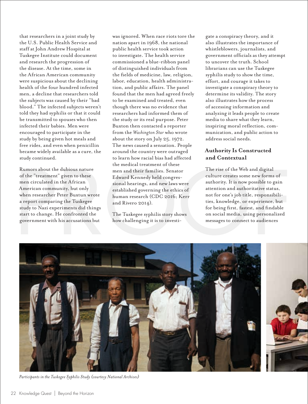that researchers in a joint study by the U.S. Public Health Service and staff at John Andrew Hospital at Tuskegee Institute could document and research the progression of the disease. At the time, some in the African American community were suspicious about the declining health of the four hundred infected men, a decline that researchers told the subjects was caused by their "bad blood." The infected subjects weren't told they had syphilis or that it could be transmitted to spouses who then infected their babies. Men were encouraged to participate in the study by being given hot meals and free rides, and even when penicillin became widely available as a cure, the study continued.

Rumors about the dubious nature of the "treatment" given to these men circulated in the African American community, but only when researcher Peter Buxtun wrote a report comparing the Tuskegee study to Nazi experiments did things start to change. He confronted the government with his accusations but

was ignored. When race riots tore the nation apart in 1968, the national public health service took action to investigate. The health service commissioned a blue-ribbon panel of distinguished individuals from the fields of medicine, law, religion, labor, education, health administration, and public affairs. The panel found that the men had agreed freely to be examined and treated, even though there was no evidence that researchers had informed them of the study or its real purpose. Peter Buxton then contacted a reporter from the *Washington Star* who wrote about the story on July 25, 1972. The news caused a sensation. People around the country were outraged to learn how racial bias had affected the medical treatment of these men and their families. Senator Edward Kennedy held congressional hearings, and new laws were established governing the ethics of human research (CDC 2016; Kerr and Rivero 2014).

The Tuskegee syphilis story shows how challenging it is to investigate a conspiracy theory, and it also illustrates the importance of whistleblowers, journalists, and government officials as they attempt to uncover the truth. School librarians can use the Tuskegee syphilis study to show the time, effort, and courage it takes to investigate a conspiracy theory to determine its validity. The story also illustrates how the process of accessing information and analyzing it leads people to create media to share what they learn, inspiring moral reflection, communication, and public action to address social needs.

#### **Authority Is Constructed and Contextual**

The rise of the Web and digital culture creates some new forms of authority. It is now possible to gain attention and authoritative status, not for one's job title, responsibilities, knowledge, or experience, but for being first, fastest, and findable on social media, using personalized messages to connect to audiences





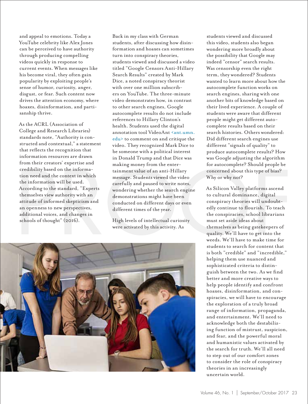and appeal to emotions. Today a YouTube celebrity like Alex Jones can be perceived to have authority through producing compelling videos quickly in response to current events. When messages like his become viral, they often gain popularity by exploiting people's sense of humor, curiosity, anger, disgust, or fear. Such content now drives the attention economy, where hoaxes, disinformation, and partisanship thrive.

As the ACRL (Association of College and Research Libraries) standards note, "Authority is constructed and contextual," a statement that reflects the recognition that information resources are drawn from their creators' expertise and credibility based on the information need and the context in which the information will be used. According to the standard, "Experts themselves view authority with an attitude of informed skepticism and an openness to new perspectives, additional voices, and changes in schools of thought" (2016).

Back in my class with German students, after discussing how disinformation and hoaxes can sometimes turn into conspiracy theories, students viewed and discussed a video titled "Google Censors Anti-Hillary Search Results" created by Mark Dice, a noted conspiracy theorist with over one million subscribers on YouTube. The three-minute video demonstrates how, in contrast to other search engines, Google autocomplete results do not include references to Hillary Clinton's health. Students used the digital annotation tool VideoAnt <ant.umn. edu> to comment on and critique the video. They recognized Mark Dice to be someone with a political interest in Donald Trump and that Dice was making money from the entertainment value of an anti-Hillary message. Students viewed the video carefully and paused to write notes, wondering whether the search engine demonstrations might have been conducted on different days or even different times of the year.

High levels of intellectual curiosity were activated by this activity. As



students viewed and discussed this video, students also began wondering more broadly about the possibility that Google may indeed "censor" search results. Was censorship even the right term, they wondered? Students wanted to learn more about how the autocomplete function works on search engines, sharing with one another bits of knowledge based on their lived experience. A couple of students were aware that different people might get different autocomplete results based on their search histories. Others wondered: Did different search engines use different "signals of quality" to produce autocomplete results? How was Google adjusting the algorithm for autocomplete? Should people be concerned about this type of bias? Why or why not?

As Silicon Valley platforms ascend to cultural dominance, digital conspiracy theories will undoubtedly continue to flourish. To teach the conspiracies, school librarians must set aside ideas about themselves as being gatekeepers of quality. We'll have to get into the weeds. We'll have to make time for students to search for content that is both "credible" and "incredible," helping them use nuanced and sophisticated criteria to distinguish between the two. As we find better and more creative ways to help people identify and confront hoaxes, disinformation, and conspiracies, we will have to encourage the exploration of a truly broad range of information, propaganda, and entertainment. We'll need to acknowledge both the destabilizing function of mistrust, suspicion, and fear, and the powerful moral and humanistic values activated by the search for truth. We'll all need to step out of our comfort zones to consider the role of conspiracy theories in an increasingly uncertain world.